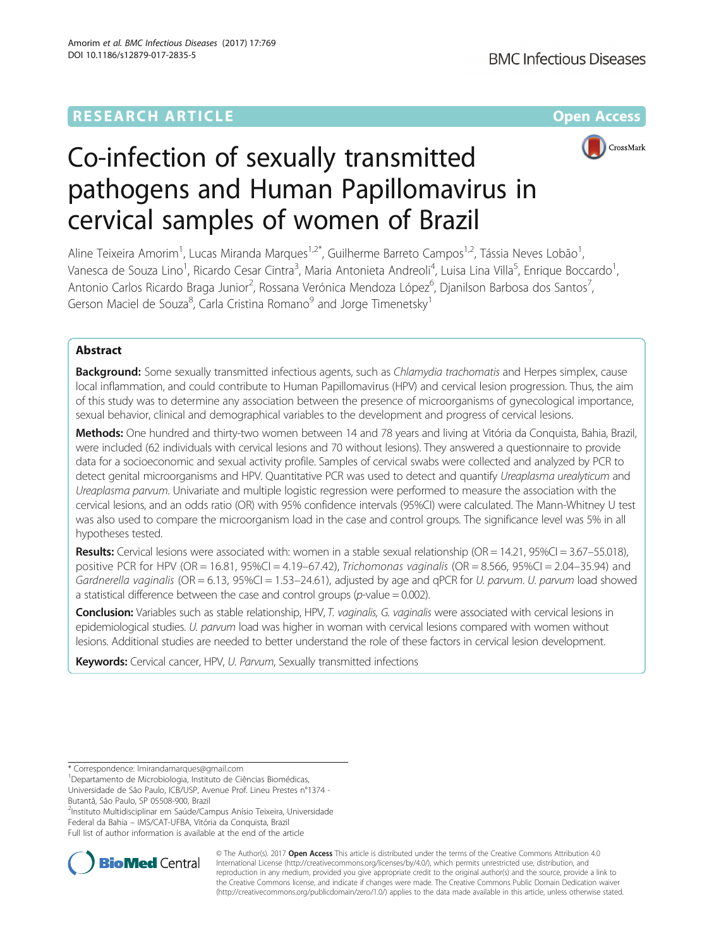

# Co-infection of sexually transmitted pathogens and Human Papillomavirus in cervical samples of women of Brazil

Aline Teixeira Amorim<sup>1</sup>, Lucas Miranda Marques<sup>1,2\*</sup>, Guilherme Barreto Campos<sup>1,2</sup>, Tássia Neves Lobão<sup>1</sup> , Vanesca de Souza Lino<sup>1</sup>, Ricardo Cesar Cintra<sup>3</sup>, Maria Antonieta Andreoli<sup>4</sup>, Luisa Lina Villa<sup>5</sup>, Enrique Boccardo<sup>1</sup> , Antonio Carlos Ricardo Braga Junior<sup>2</sup>, Rossana Verónica Mendoza López<sup>6</sup>, Djanilson Barbosa dos Santos<sup>7</sup> , Gerson Maciel de Souza<sup>8</sup>, Carla Cristina Romano<sup>9</sup> and Jorge Timenetsky<sup>1</sup>

# Abstract

Background: Some sexually transmitted infectious agents, such as Chlamydia trachomatis and Herpes simplex, cause local inflammation, and could contribute to Human Papillomavirus (HPV) and cervical lesion progression. Thus, the aim of this study was to determine any association between the presence of microorganisms of gynecological importance, sexual behavior, clinical and demographical variables to the development and progress of cervical lesions.

Methods: One hundred and thirty-two women between 14 and 78 years and living at Vitória da Conquista, Bahia, Brazil, were included (62 individuals with cervical lesions and 70 without lesions). They answered a questionnaire to provide data for a socioeconomic and sexual activity profile. Samples of cervical swabs were collected and analyzed by PCR to detect genital microorganisms and HPV. Quantitative PCR was used to detect and quantify Ureaplasma urealyticum and Ureaplasma parvum. Univariate and multiple logistic regression were performed to measure the association with the cervical lesions, and an odds ratio (OR) with 95% confidence intervals (95%CI) were calculated. The Mann-Whitney U test was also used to compare the microorganism load in the case and control groups. The significance level was 5% in all hypotheses tested.

Results: Cervical lesions were associated with: women in a stable sexual relationship (OR = 14.21, 95%CI = 3.67–55.018), positive PCR for HPV (OR = 16.81, 95%CI = 4.19–67.42), Trichomonas vaginalis (OR = 8.566, 95%CI = 2.04–35.94) and Gardnerella vaginalis (OR = 6.13, 95%CI = 1.53–24.61), adjusted by age and qPCR for U. parvum. U. parvum load showed a statistical difference between the case and control groups ( $p$ -value = 0.002).

Conclusion: Variables such as stable relationship, HPV, T. vaginalis, G. vaginalis were associated with cervical lesions in epidemiological studies. U. parvum load was higher in woman with cervical lesions compared with women without lesions. Additional studies are needed to better understand the role of these factors in cervical lesion development.

Keywords: Cervical cancer, HPV, U. Parvum, Sexually transmitted infections

<sup>2</sup>Instituto Multidisciplinar em Saúde/Campus Anísio Teixeira, Universidade Federal da Bahia – IMS/CAT-UFBA, Vitória da Conquista, Brazil Full list of author information is available at the end of the article



© The Author(s). 2017 **Open Access** This article is distributed under the terms of the Creative Commons Attribution 4.0 International License [\(http://creativecommons.org/licenses/by/4.0/](http://creativecommons.org/licenses/by/4.0/)), which permits unrestricted use, distribution, and reproduction in any medium, provided you give appropriate credit to the original author(s) and the source, provide a link to the Creative Commons license, and indicate if changes were made. The Creative Commons Public Domain Dedication waiver [\(http://creativecommons.org/publicdomain/zero/1.0/](http://creativecommons.org/publicdomain/zero/1.0/)) applies to the data made available in this article, unless otherwise stated.

<sup>\*</sup> Correspondence: [lmirandamarques@gmail.com](mailto:lmirandamarques@gmail.com) <sup>1</sup>

Departamento de Microbiologia, Instituto de Ciências Biomédicas,

Universidade de São Paulo, ICB/USP, Avenue Prof. Lineu Prestes n°1374 - Butantã, São Paulo, SP 05508-900, Brazil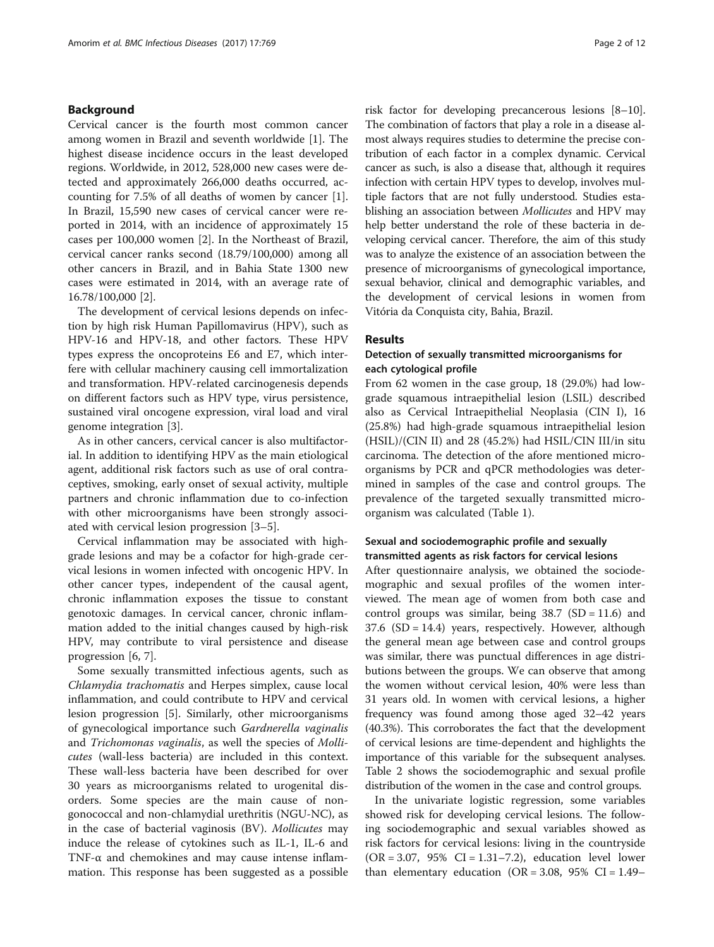# Background

Cervical cancer is the fourth most common cancer among women in Brazil and seventh worldwide [[1\]](#page-10-0). The highest disease incidence occurs in the least developed regions. Worldwide, in 2012, 528,000 new cases were detected and approximately 266,000 deaths occurred, accounting for 7.5% of all deaths of women by cancer [\[1](#page-10-0)]. In Brazil, 15,590 new cases of cervical cancer were reported in 2014, with an incidence of approximately 15 cases per 100,000 women [[2](#page-10-0)]. In the Northeast of Brazil, cervical cancer ranks second (18.79/100,000) among all other cancers in Brazil, and in Bahia State 1300 new cases were estimated in 2014, with an average rate of 16.78/100,000 [[2\]](#page-10-0).

The development of cervical lesions depends on infection by high risk Human Papillomavirus (HPV), such as HPV-16 and HPV-18, and other factors. These HPV types express the oncoproteins E6 and E7, which interfere with cellular machinery causing cell immortalization and transformation. HPV-related carcinogenesis depends on different factors such as HPV type, virus persistence, sustained viral oncogene expression, viral load and viral genome integration [[3](#page-10-0)].

As in other cancers, cervical cancer is also multifactorial. In addition to identifying HPV as the main etiological agent, additional risk factors such as use of oral contraceptives, smoking, early onset of sexual activity, multiple partners and chronic inflammation due to co-infection with other microorganisms have been strongly associated with cervical lesion progression [\[3](#page-10-0)–[5\]](#page-10-0).

Cervical inflammation may be associated with highgrade lesions and may be a cofactor for high-grade cervical lesions in women infected with oncogenic HPV. In other cancer types, independent of the causal agent, chronic inflammation exposes the tissue to constant genotoxic damages. In cervical cancer, chronic inflammation added to the initial changes caused by high-risk HPV, may contribute to viral persistence and disease progression [\[6](#page-10-0), [7](#page-10-0)].

Some sexually transmitted infectious agents, such as Chlamydia trachomatis and Herpes simplex, cause local inflammation, and could contribute to HPV and cervical lesion progression [[5\]](#page-10-0). Similarly, other microorganisms of gynecological importance such Gardnerella vaginalis and Trichomonas vaginalis, as well the species of Mollicutes (wall-less bacteria) are included in this context. These wall-less bacteria have been described for over 30 years as microorganisms related to urogenital disorders. Some species are the main cause of nongonococcal and non-chlamydial urethritis (NGU-NC), as in the case of bacterial vaginosis (BV). Mollicutes may induce the release of cytokines such as IL-1, IL-6 and TNF- $\alpha$  and chemokines and may cause intense inflammation. This response has been suggested as a possible risk factor for developing precancerous lesions [\[8](#page-10-0)–[10](#page-10-0)]. The combination of factors that play a role in a disease almost always requires studies to determine the precise contribution of each factor in a complex dynamic. Cervical cancer as such, is also a disease that, although it requires infection with certain HPV types to develop, involves multiple factors that are not fully understood. Studies establishing an association between *Mollicutes* and HPV may help better understand the role of these bacteria in developing cervical cancer. Therefore, the aim of this study was to analyze the existence of an association between the presence of microorganisms of gynecological importance, sexual behavior, clinical and demographic variables, and the development of cervical lesions in women from Vitória da Conquista city, Bahia, Brazil.

# Results

# Detection of sexually transmitted microorganisms for each cytological profile

From 62 women in the case group, 18 (29.0%) had lowgrade squamous intraepithelial lesion (LSIL) described also as Cervical Intraepithelial Neoplasia (CIN I), 16 (25.8%) had high-grade squamous intraepithelial lesion (HSIL)/(CIN II) and 28 (45.2%) had HSIL/CIN III/in situ carcinoma. The detection of the afore mentioned microorganisms by PCR and qPCR methodologies was determined in samples of the case and control groups. The prevalence of the targeted sexually transmitted microorganism was calculated (Table [1\)](#page-2-0).

# Sexual and sociodemographic profile and sexually transmitted agents as risk factors for cervical lesions

After questionnaire analysis, we obtained the sociodemographic and sexual profiles of the women interviewed. The mean age of women from both case and control groups was similar, being  $38.7$  (SD = 11.6) and  $37.6$  (SD = 14.4) years, respectively. However, although the general mean age between case and control groups was similar, there was punctual differences in age distributions between the groups. We can observe that among the women without cervical lesion, 40% were less than 31 years old. In women with cervical lesions, a higher frequency was found among those aged 32–42 years (40.3%). This corroborates the fact that the development of cervical lesions are time-dependent and highlights the importance of this variable for the subsequent analyses. Table [2](#page-4-0) shows the sociodemographic and sexual profile distribution of the women in the case and control groups.

In the univariate logistic regression, some variables showed risk for developing cervical lesions. The following sociodemographic and sexual variables showed as risk factors for cervical lesions: living in the countryside  $(OR = 3.07, 95\% \text{ CI} = 1.31 - 7.2)$ , education level lower than elementary education ( $OR = 3.08$ ,  $95\%$  CI = 1.49–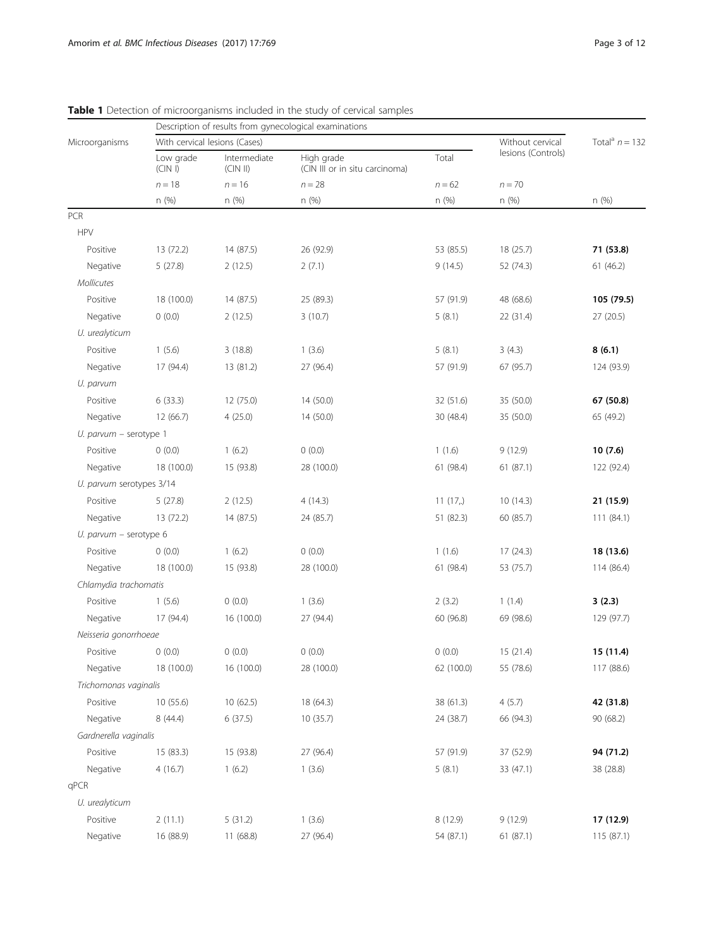|                          | Description of results from gynecological examinations |                                                                          |                  |                              |                    |            |  |  |
|--------------------------|--------------------------------------------------------|--------------------------------------------------------------------------|------------------|------------------------------|--------------------|------------|--|--|
| Microorganisms           | With cervical lesions (Cases)                          |                                                                          | Without cervical | Total <sup>a</sup> $n = 132$ |                    |            |  |  |
|                          | Low grade<br>(CIN I)                                   | Intermediate<br>High grade<br>(CIN III or in situ carcinoma)<br>(CIN II) |                  | Total                        | lesions (Controls) |            |  |  |
|                          | $n = 18$                                               | $n = 16$                                                                 | $n = 28$         | $n = 62$                     | $n = 70$           |            |  |  |
|                          | n (%)                                                  | n (%)                                                                    | n (%)            | n (%)                        | n (%)              | n (%)      |  |  |
| PCR                      |                                                        |                                                                          |                  |                              |                    |            |  |  |
| <b>HPV</b>               |                                                        |                                                                          |                  |                              |                    |            |  |  |
| Positive                 | 13 (72.2)                                              | 14 (87.5)                                                                | 26 (92.9)        | 53 (85.5)                    | 18 (25.7)          | 71 (53.8)  |  |  |
| Negative                 | 5(27.8)                                                | 2(12.5)                                                                  | 2(7.1)           | 9(14.5)                      | 52 (74.3)          | 61 (46.2)  |  |  |
| Mollicutes               |                                                        |                                                                          |                  |                              |                    |            |  |  |
| Positive                 | 18 (100.0)                                             | 14 (87.5)                                                                | 25 (89.3)        | 57 (91.9)                    | 48 (68.6)          | 105 (79.5) |  |  |
| Negative                 | 0(0.0)                                                 | 2(12.5)                                                                  | 3(10.7)          | 5(8.1)                       | 22 (31.4)          | 27 (20.5)  |  |  |
| U. urealyticum           |                                                        |                                                                          |                  |                              |                    |            |  |  |
| Positive                 | 1(5.6)                                                 | 3(18.8)                                                                  | 1(3.6)           | 5(8.1)                       | 3(4.3)             | 8(6.1)     |  |  |
| Negative                 | 17 (94.4)                                              | 13 (81.2)                                                                | 27 (96.4)        | 57 (91.9)                    | 67 (95.7)          | 124 (93.9) |  |  |
| U. parvum                |                                                        |                                                                          |                  |                              |                    |            |  |  |
| Positive                 | 6(33.3)                                                | 12 (75.0)                                                                | 14 (50.0)        | 32 (51.6)                    | 35 (50.0)          | 67 (50.8)  |  |  |
| Negative                 | 12(66.7)                                               | 4(25.0)                                                                  | 14 (50.0)        | 30 (48.4)                    | 35 (50.0)          | 65 (49.2)  |  |  |
| U. parvum - serotype 1   |                                                        |                                                                          |                  |                              |                    |            |  |  |
| Positive                 | 0(0.0)                                                 | 1(6.2)                                                                   | 0(0.0)           | 1(1.6)                       | 9(12.9)            | 10(7.6)    |  |  |
| Negative                 | 18 (100.0)                                             | 15 (93.8)                                                                | 28 (100.0)       | 61 (98.4)                    | 61(87.1)           | 122 (92.4) |  |  |
| U. parvum serotypes 3/14 |                                                        |                                                                          |                  |                              |                    |            |  |  |
| Positive                 | 5(27.8)                                                | 2(12.5)                                                                  | 4(14.3)          | 11(17,                       | 10(14.3)           | 21 (15.9)  |  |  |
| Negative                 | 13 (72.2)                                              | 14 (87.5)                                                                | 24 (85.7)        | 51 (82.3)                    | 60 (85.7)          | 111 (84.1) |  |  |
| U. parvum - serotype 6   |                                                        |                                                                          |                  |                              |                    |            |  |  |
| Positive                 | 0(0.0)                                                 | 1(6.2)                                                                   | 0(0.0)           | 1(1.6)                       | 17(24.3)           | 18 (13.6)  |  |  |
| Negative                 | 18 (100.0)                                             | 15 (93.8)                                                                | 28 (100.0)       | 61 (98.4)                    | 53 (75.7)          | 114 (86.4) |  |  |
| Chlamydia trachomatis    |                                                        |                                                                          |                  |                              |                    |            |  |  |
| Positive                 | 1(5.6)                                                 | 0(0.0)                                                                   | 1(3.6)           | 2(3.2)                       | 1(1.4)             | 3(2.3)     |  |  |
| Negative                 | 17 (94.4)                                              | 16 (100.0)                                                               | 27 (94.4)        | 60 (96.8)                    | 69 (98.6)          | 129 (97.7) |  |  |
| Neisseria gonorrhoeae    |                                                        |                                                                          |                  |                              |                    |            |  |  |
| Positive                 | 0(0.0)                                                 | 0(0.0)                                                                   | 0(0.0)           | 0(0.0)                       | 15 (21.4)          | 15 (11.4)  |  |  |
| Negative                 | 18 (100.0)                                             | 16 (100.0)                                                               | 28 (100.0)       | 62 (100.0)                   | 55 (78.6)          | 117 (88.6) |  |  |
| Trichomonas vaginalis    |                                                        |                                                                          |                  |                              |                    |            |  |  |
| Positive                 | 10 (55.6)                                              | 10(62.5)                                                                 | 18 (64.3)        | 38 (61.3)                    | 4(5.7)             | 42 (31.8)  |  |  |
| Negative                 | 8 (44.4)                                               | 6(37.5)                                                                  | 10 (35.7)        | 24 (38.7)                    | 66 (94.3)          | 90 (68.2)  |  |  |
| Gardnerella vaginalis    |                                                        |                                                                          |                  |                              |                    |            |  |  |
| Positive                 | 15 (83.3)                                              | 15 (93.8)                                                                | 27 (96.4)        | 57 (91.9)                    | 37 (52.9)          | 94 (71.2)  |  |  |
| Negative                 | 4(16.7)                                                | 1(6.2)                                                                   | 1(3.6)           | 5(8.1)                       | 33 (47.1)          | 38 (28.8)  |  |  |
| qPCR                     |                                                        |                                                                          |                  |                              |                    |            |  |  |
| U. urealyticum           |                                                        |                                                                          |                  |                              |                    |            |  |  |
| Positive                 | 2(11.1)                                                | 5(31.2)                                                                  | 1(3.6)           | 8 (12.9)                     | 9(12.9)            | 17 (12.9)  |  |  |
| Negative                 | 16 (88.9)                                              | 11 (68.8)                                                                | 27 (96.4)        | 54 (87.1)                    | 61(87.1)           | 115 (87.1) |  |  |

<span id="page-2-0"></span>Table 1 Detection of microorganisms included in the study of cervical samples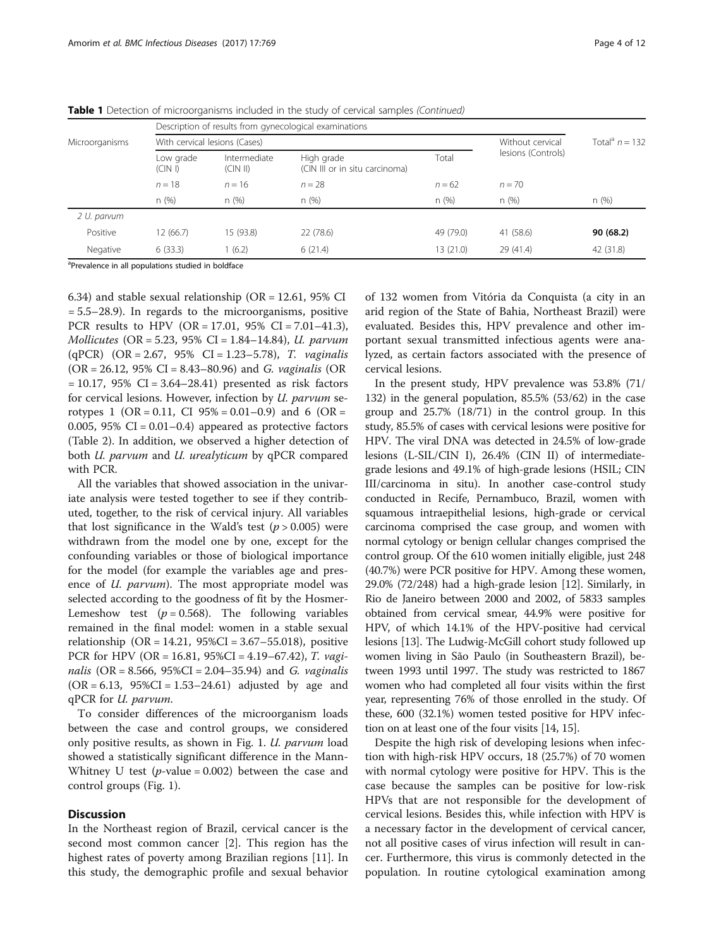|                | Description of results from gynecological examinations                                                                       |           |                                |                              |                    |           |  |  |
|----------------|------------------------------------------------------------------------------------------------------------------------------|-----------|--------------------------------|------------------------------|--------------------|-----------|--|--|
| Microorganisms | With cervical lesions (Cases)                                                                                                |           | Without cervical               | Total <sup>a</sup> $n = 132$ |                    |           |  |  |
|                | Intermediate<br>High grade<br>Low grade<br>$(CIN$ II)<br>(CIN I)<br>$n = 18$<br>$n = 16$<br>$n = 28$<br>n(%)<br>n(%)<br>n(%) |           | (CIN III or in situ carcinoma) | Total                        | lesions (Controls) | n(%)      |  |  |
|                |                                                                                                                              |           |                                | $n = 62$                     | $n = 70$           |           |  |  |
|                |                                                                                                                              |           |                                | n(%)                         | n(%)               |           |  |  |
| 2 U. parvum    |                                                                                                                              |           |                                |                              |                    |           |  |  |
| Positive       | 12(66.7)                                                                                                                     | 15 (93.8) | 22(78.6)                       | 49 (79.0)                    | 41 (58.6)          | 90(68.2)  |  |  |
| Negative       | 6(33.3)                                                                                                                      | (6.2)     | 6(21.4)                        | 13 (21.0)                    | 29 (41.4)          | 42 (31.8) |  |  |
|                |                                                                                                                              |           |                                |                              |                    |           |  |  |

Table 1 Detection of microorganisms included in the study of cervical samples (Continued)

<sup>a</sup>Prevalence in all populations studied in boldface

6.34) and stable sexual relationship ( $OR = 12.61$ , 95% CI  $= 5.5-28.9$ ). In regards to the microorganisms, positive PCR results to HPV (OR = 17.01, 95% CI = 7.01–41.3), Mollicutes (OR = 5.23, 95% CI = 1.84–14.84), U. parvum (qPCR) (OR = 2.67, 95% CI = 1.23–5.78), T. vaginalis (OR = 26.12, 95% CI = 8.43–80.96) and G. vaginalis (OR  $= 10.17$ , 95% CI  $= 3.64 - 28.41$ ) presented as risk factors for cervical lesions. However, infection by U. parvum serotypes 1 (OR = 0.11, CI  $95\% = 0.01 - 0.9$ ) and 6 (OR = 0.005, 95%  $CI = 0.01 - 0.4$ ) appeared as protective factors (Table [2](#page-4-0)). In addition, we observed a higher detection of both U. parvum and U. urealyticum by qPCR compared with PCR.

All the variables that showed association in the univariate analysis were tested together to see if they contributed, together, to the risk of cervical injury. All variables that lost significance in the Wald's test ( $p > 0.005$ ) were withdrawn from the model one by one, except for the confounding variables or those of biological importance for the model (for example the variables age and presence of *U. parvum*). The most appropriate model was selected according to the goodness of fit by the Hosmer-Lemeshow test  $(p = 0.568)$ . The following variables remained in the final model: women in a stable sexual relationship (OR = 14.21, 95%CI = 3.67–55.018), positive PCR for HPV (OR = 16.81, 95%CI = 4.19–67.42), T. vaginalis (OR = 8.566,  $95\%$ CI = 2.04–35.94) and *G. vaginalis*  $(OR = 6.13, 95\% CI = 1.53 - 24.61)$  adjusted by age and qPCR for U. parvum.

To consider differences of the microorganism loads between the case and control groups, we considered only positive results, as shown in Fig. [1.](#page-6-0) U. parvum load showed a statistically significant difference in the Mann-Whitney U test  $(p$ -value = 0.002) between the case and control groups (Fig. [1](#page-6-0)).

# **Discussion**

In the Northeast region of Brazil, cervical cancer is the second most common cancer [[2\]](#page-10-0). This region has the highest rates of poverty among Brazilian regions [\[11](#page-10-0)]. In this study, the demographic profile and sexual behavior of 132 women from Vitória da Conquista (a city in an arid region of the State of Bahia, Northeast Brazil) were evaluated. Besides this, HPV prevalence and other important sexual transmitted infectious agents were analyzed, as certain factors associated with the presence of cervical lesions.

In the present study, HPV prevalence was 53.8% (71/ 132) in the general population, 85.5% (53/62) in the case group and 25.7% (18/71) in the control group. In this study, 85.5% of cases with cervical lesions were positive for HPV. The viral DNA was detected in 24.5% of low-grade lesions (L-SIL/CIN I), 26.4% (CIN II) of intermediategrade lesions and 49.1% of high-grade lesions (HSIL; CIN III/carcinoma in situ). In another case-control study conducted in Recife, Pernambuco, Brazil, women with squamous intraepithelial lesions, high-grade or cervical carcinoma comprised the case group, and women with normal cytology or benign cellular changes comprised the control group. Of the 610 women initially eligible, just 248 (40.7%) were PCR positive for HPV. Among these women, 29.0% (72/248) had a high-grade lesion [[12](#page-10-0)]. Similarly, in Rio de Janeiro between 2000 and 2002, of 5833 samples obtained from cervical smear, 44.9% were positive for HPV, of which 14.1% of the HPV-positive had cervical lesions [[13](#page-10-0)]. The Ludwig-McGill cohort study followed up women living in São Paulo (in Southeastern Brazil), between 1993 until 1997. The study was restricted to 1867 women who had completed all four visits within the first year, representing 76% of those enrolled in the study. Of these, 600 (32.1%) women tested positive for HPV infection on at least one of the four visits [[14](#page-10-0), [15](#page-10-0)].

Despite the high risk of developing lesions when infection with high-risk HPV occurs, 18 (25.7%) of 70 women with normal cytology were positive for HPV. This is the case because the samples can be positive for low-risk HPVs that are not responsible for the development of cervical lesions. Besides this, while infection with HPV is a necessary factor in the development of cervical cancer, not all positive cases of virus infection will result in cancer. Furthermore, this virus is commonly detected in the population. In routine cytological examination among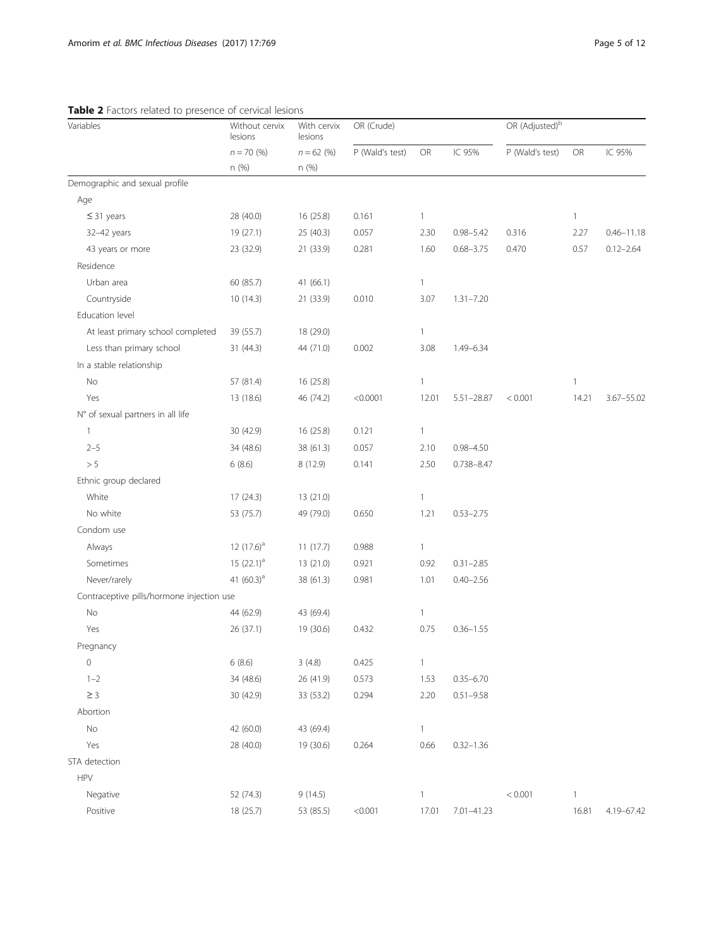<span id="page-4-0"></span>

| Variables                         | Without cervix<br>lesions<br>$n = 70(%)$ | With cervix<br>lesions<br>$n = 62$ (%) | OR (Crude)      |              |                | OR (Adjusted) <sup>b</sup> |              |                |
|-----------------------------------|------------------------------------------|----------------------------------------|-----------------|--------------|----------------|----------------------------|--------------|----------------|
|                                   |                                          |                                        | P (Wald's test) | OR           | IC 95%         | P (Wald's test)            | OR           | IC 95%         |
|                                   | n(%)                                     | n (%)                                  |                 |              |                |                            |              |                |
| Demographic and sexual profile    |                                          |                                        |                 |              |                |                            |              |                |
| Age                               |                                          |                                        |                 |              |                |                            |              |                |
| $\leq$ 31 years                   | 28 (40.0)                                | 16 (25.8)                              | 0.161           | $\mathbf{1}$ |                |                            | $\mathbf{1}$ |                |
| 32-42 years                       | 19 (27.1)                                | 25 (40.3)                              | 0.057           | 2.30         | $0.98 - 5.42$  | 0.316                      | 2.27         | $0.46 - 11.18$ |
| 43 years or more                  | 23 (32.9)                                | 21 (33.9)                              | 0.281           | 1.60         | $0.68 - 3.75$  | 0.470                      | 0.57         | $0.12 - 2.64$  |
| Residence                         |                                          |                                        |                 |              |                |                            |              |                |
| Urban area                        | 60 (85.7)                                | 41 (66.1)                              |                 | $\mathbf{1}$ |                |                            |              |                |
| Countryside                       | 10(14.3)                                 | 21 (33.9)                              | 0.010           | 3.07         | $1.31 - 7.20$  |                            |              |                |
| Education level                   |                                          |                                        |                 |              |                |                            |              |                |
| At least primary school completed | 39 (55.7)                                | 18 (29.0)                              |                 | $\mathbf{1}$ |                |                            |              |                |
| Less than primary school          | 31 (44.3)                                | 44 (71.0)                              | 0.002           | 3.08         | 1.49-6.34      |                            |              |                |
| In a stable relationship          |                                          |                                        |                 |              |                |                            |              |                |
| No                                | 57 (81.4)                                | 16 (25.8)                              |                 | $\mathbf{1}$ |                |                            | $\mathbf{1}$ |                |
| Yes                               | 13 (18.6)                                | 46 (74.2)                              | < 0.0001        | 12.01        | $5.51 - 28.87$ | < 0.001                    | 14.21        | 3.67-55.02     |
| N° of sexual partners in all life |                                          |                                        |                 |              |                |                            |              |                |
| $\mathbf{1}$                      | 30 (42.9)                                | 16 (25.8)                              | 0.121           | $\mathbf{1}$ |                |                            |              |                |
| $2 - 5$                           | 34 (48.6)                                | 38 (61.3)                              | 0.057           | 2.10         | $0.98 - 4.50$  |                            |              |                |
| > 5                               | 6(8.6)                                   | 8 (12.9)                               | 0.141           | 2.50         | $0.738 - 8.47$ |                            |              |                |
| Ethnic group declared             |                                          |                                        |                 |              |                |                            |              |                |
| White                             | 17(24.3)                                 | 13 (21.0)                              |                 | $\mathbf{1}$ |                |                            |              |                |
| No white                          | 53 (75.7)                                | 49 (79.0)                              | 0.650           | 1.21         | $0.53 - 2.75$  |                            |              |                |
| Condom use                        |                                          |                                        |                 |              |                |                            |              |                |
| Always                            | 12 $(17.6)^a$                            | 11(17.7)                               | 0.988           | $\mathbf{1}$ |                |                            |              |                |
| Sometimes                         | 15 $(22.1)^a$                            | 13(21.0)                               | 0.921           | 0.92         | $0.31 - 2.85$  |                            |              |                |

# Table 2 Factor

Pregnancy

Contraceptive pills/hormone injection use

| $1 - 2$       | 34 (48.6) | 26(41.9)  | 0.573   | 1.53  | $0.35 - 6.70$ |         |       |            |
|---------------|-----------|-----------|---------|-------|---------------|---------|-------|------------|
| $\geq$ 3      | 30 (42.9) | 33 (53.2) | 0.294   | 2.20  | $0.51 - 9.58$ |         |       |            |
| Abortion      |           |           |         |       |               |         |       |            |
| No            | 42(60.0)  | 43 (69.4) |         |       |               |         |       |            |
| Yes           | 28 (40.0) | 19 (30.6) | 0.264   | 0.66  | $0.32 - 1.36$ |         |       |            |
| STA detection |           |           |         |       |               |         |       |            |
| <b>HPV</b>    |           |           |         |       |               |         |       |            |
| Negative      | 52 (74.3) | 9(14.5)   |         |       |               | < 0.001 |       |            |
| Positive      | 18 (25.7) | 53 (85.5) | < 0.001 | 17.01 | 7.01-41.23    |         | 16.81 | 4.19-67.42 |
|               |           |           |         |       |               |         |       |            |

Never/rarely **41** (60.3)<sup>a</sup> 38 (61.3) 0.981 1.01 0.40-2.56

Yes 26 (37.1) 19 (30.6) 0.432 0.75 0.36–1.55

No 44 (62.9) 43 (69.4) 1

0 6 (8.6) 3 (4.8) 0.425 1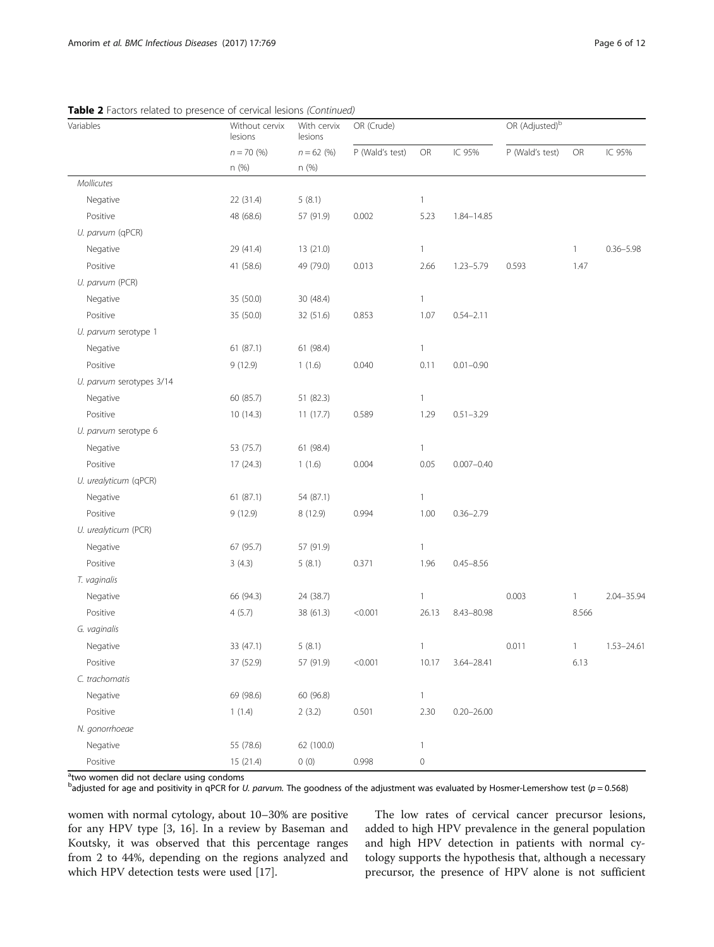| Variables                | Without cervix<br>lesions | With cervix<br>lesions | OR (Crude)      |                     |                | OR (Adjusted) <sup>b</sup> |              |                |
|--------------------------|---------------------------|------------------------|-----------------|---------------------|----------------|----------------------------|--------------|----------------|
|                          | $n = 70 (%)$              | $n = 62 (%)$           | P (Wald's test) | ${\sf OR}$          | IC 95%         | P (Wald's test)            | ${\sf OR}$   | IC 95%         |
|                          | n (%)                     | n (%)                  |                 |                     |                |                            |              |                |
| Mollicutes               |                           |                        |                 |                     |                |                            |              |                |
| Negative                 | 22 (31.4)                 | 5(8.1)                 |                 | 1                   |                |                            |              |                |
| Positive                 | 48 (68.6)                 | 57 (91.9)              | 0.002           | 5.23                | 1.84-14.85     |                            |              |                |
| U. parvum (qPCR)         |                           |                        |                 |                     |                |                            |              |                |
| Negative                 | 29 (41.4)                 | 13 (21.0)              |                 | $\mathbf{1}$        |                |                            | $\mathbf{1}$ | $0.36 - 5.98$  |
| Positive                 | 41 (58.6)                 | 49 (79.0)              | 0.013           | 2.66                | $1.23 - 5.79$  | 0.593                      | 1.47         |                |
| U. parvum (PCR)          |                           |                        |                 |                     |                |                            |              |                |
| Negative                 | 35 (50.0)                 | 30 (48.4)              |                 | $\mathbf{1}$        |                |                            |              |                |
| Positive                 | 35 (50.0)                 | 32 (51.6)              | 0.853           | 1.07                | $0.54 - 2.11$  |                            |              |                |
| U. parvum serotype 1     |                           |                        |                 |                     |                |                            |              |                |
| Negative                 | 61 (87.1)                 | 61 (98.4)              |                 | $\mathbf{1}$        |                |                            |              |                |
| Positive                 | 9(12.9)                   | 1(1.6)                 | 0.040           | 0.11                | $0.01 - 0.90$  |                            |              |                |
| U. parvum serotypes 3/14 |                           |                        |                 |                     |                |                            |              |                |
| Negative                 | 60 (85.7)                 | 51 (82.3)              |                 | 1                   |                |                            |              |                |
| Positive                 | 10 (14.3)                 | 11(17.7)               | 0.589           | 1.29                | $0.51 - 3.29$  |                            |              |                |
| U. parvum serotype 6     |                           |                        |                 |                     |                |                            |              |                |
| Negative                 | 53 (75.7)                 | 61 (98.4)              |                 | 1                   |                |                            |              |                |
| Positive                 | 17 (24.3)                 | 1(1.6)                 | 0.004           | 0.05                | $0.007 - 0.40$ |                            |              |                |
| U. urealyticum (qPCR)    |                           |                        |                 |                     |                |                            |              |                |
| Negative                 | 61(87.1)                  | 54 (87.1)              |                 | $\mathbf{1}$        |                |                            |              |                |
| Positive                 | 9(12.9)                   | 8(12.9)                | 0.994           | 1.00                | $0.36 - 2.79$  |                            |              |                |
| U. urealyticum (PCR)     |                           |                        |                 |                     |                |                            |              |                |
| Negative                 | 67 (95.7)                 | 57 (91.9)              |                 | 1                   |                |                            |              |                |
| Positive                 | 3(4.3)                    | 5(8.1)                 | 0.371           | 1.96                | $0.45 - 8.56$  |                            |              |                |
| T. vaginalis             |                           |                        |                 |                     |                |                            |              |                |
| Negative                 | 66 (94.3)                 | 24 (38.7)              |                 | 1                   |                | 0.003                      | $\mathbf{1}$ | $2.04 - 35.94$ |
| Positive                 | 4(5.7)                    | 38 (61.3)              | < 0.001         | 26.13               | 8.43-80.98     |                            | 8.566        |                |
| G. vaginalis             |                           |                        |                 |                     |                |                            |              |                |
| Negative                 | 33 (47.1)                 | 5(8.1)                 |                 | 1                   |                | 0.011                      | $\mathbf{1}$ | $1.53 - 24.61$ |
| Positive                 | 37 (52.9)                 | 57 (91.9)              | < 0.001         | 10.17               | 3.64-28.41     |                            | 6.13         |                |
| C. trachomatis           |                           |                        |                 |                     |                |                            |              |                |
| Negative                 | 69 (98.6)                 | 60 (96.8)              |                 | 1                   |                |                            |              |                |
| Positive                 | 1(1.4)                    | 2(3.2)                 | 0.501           | 2.30                | $0.20 - 26.00$ |                            |              |                |
| N. gonorrhoeae           |                           |                        |                 |                     |                |                            |              |                |
| Negative                 | 55 (78.6)                 | 62 (100.0)             |                 | 1                   |                |                            |              |                |
| Positive                 | 15 (21.4)                 | $0\ (0)$               | 0.998           | $\mathsf{O}\xspace$ |                |                            |              |                |

Table 2 Factors related to presence of cervical lesions (Continued)

<sup>a</sup>two women did not declare using condoms

 $^{\rm b}$ adjusted for age and positivity in qPCR for *U. parvum.* The goodness of the adjustment was evaluated by Hosmer-Lemershow test (p = 0.568)

women with normal cytology, about 10–30% are positive for any HPV type [\[3](#page-10-0), [16](#page-10-0)]. In a review by Baseman and Koutsky, it was observed that this percentage ranges from 2 to 44%, depending on the regions analyzed and which HPV detection tests were used [\[17](#page-10-0)].

The low rates of cervical cancer precursor lesions, added to high HPV prevalence in the general population and high HPV detection in patients with normal cytology supports the hypothesis that, although a necessary precursor, the presence of HPV alone is not sufficient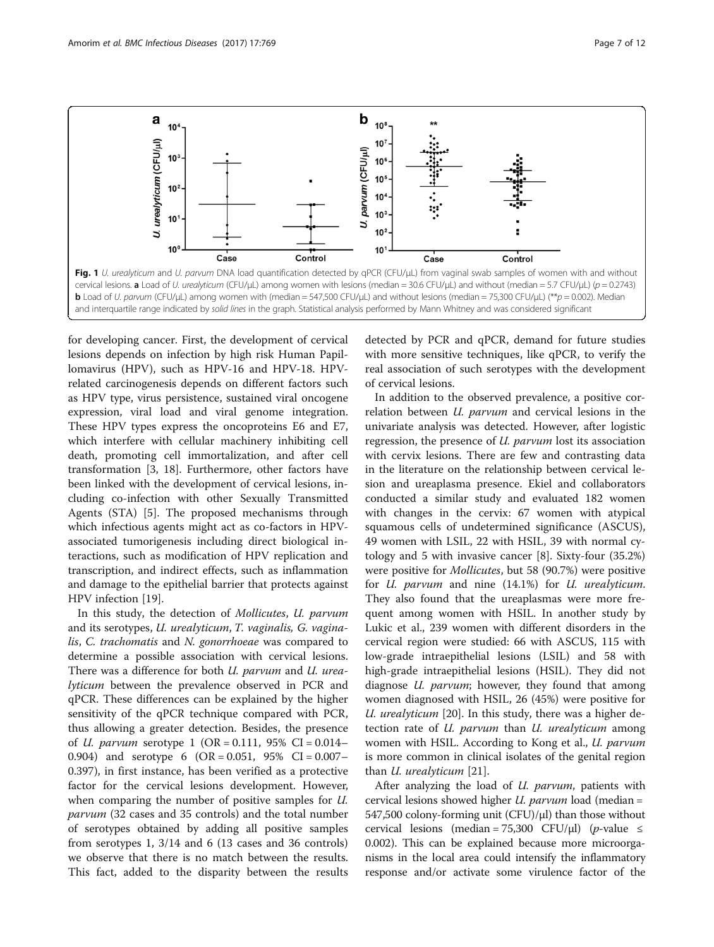<span id="page-6-0"></span>

for developing cancer. First, the development of cervical lesions depends on infection by high risk Human Papillomavirus (HPV), such as HPV-16 and HPV-18. HPVrelated carcinogenesis depends on different factors such as HPV type, virus persistence, sustained viral oncogene expression, viral load and viral genome integration. These HPV types express the oncoproteins E6 and E7, which interfere with cellular machinery inhibiting cell death, promoting cell immortalization, and after cell transformation [\[3](#page-10-0), [18](#page-10-0)]. Furthermore, other factors have been linked with the development of cervical lesions, including co-infection with other Sexually Transmitted Agents (STA) [[5\]](#page-10-0). The proposed mechanisms through which infectious agents might act as co-factors in HPVassociated tumorigenesis including direct biological interactions, such as modification of HPV replication and transcription, and indirect effects, such as inflammation and damage to the epithelial barrier that protects against HPV infection [[19](#page-10-0)].

In this study, the detection of Mollicutes, U. parvum and its serotypes, U. urealyticum, T. vaginalis, G. vaginalis, C. trachomatis and N. gonorrhoeae was compared to determine a possible association with cervical lesions. There was a difference for both *U. parvum* and *U. urea*lyticum between the prevalence observed in PCR and qPCR. These differences can be explained by the higher sensitivity of the qPCR technique compared with PCR, thus allowing a greater detection. Besides, the presence of *U. parvum* serotype 1 (OR = 0.111, 95% CI = 0.014– 0.904) and serotype 6  $(OR = 0.051, 95\% \text{ CI} = 0.007$ -0.397), in first instance, has been verified as a protective factor for the cervical lesions development. However, when comparing the number of positive samples for U. parvum (32 cases and 35 controls) and the total number of serotypes obtained by adding all positive samples from serotypes 1, 3/14 and 6 (13 cases and 36 controls) we observe that there is no match between the results. This fact, added to the disparity between the results

detected by PCR and qPCR, demand for future studies with more sensitive techniques, like qPCR, to verify the real association of such serotypes with the development of cervical lesions.

In addition to the observed prevalence, a positive correlation between *U. parvum* and cervical lesions in the univariate analysis was detected. However, after logistic regression, the presence of U. parvum lost its association with cervix lesions. There are few and contrasting data in the literature on the relationship between cervical lesion and ureaplasma presence. Ekiel and collaborators conducted a similar study and evaluated 182 women with changes in the cervix: 67 women with atypical squamous cells of undetermined significance (ASCUS), 49 women with LSIL, 22 with HSIL, 39 with normal cytology and 5 with invasive cancer [[8\]](#page-10-0). Sixty-four (35.2%) were positive for Mollicutes, but 58 (90.7%) were positive for U. parvum and nine (14.1%) for U. urealyticum. They also found that the ureaplasmas were more frequent among women with HSIL. In another study by Lukic et al., 239 women with different disorders in the cervical region were studied: 66 with ASCUS, 115 with low-grade intraepithelial lesions (LSIL) and 58 with high-grade intraepithelial lesions (HSIL). They did not diagnose *U. parvum*; however, they found that among women diagnosed with HSIL, 26 (45%) were positive for U. urealyticum [\[20\]](#page-10-0). In this study, there was a higher detection rate of U. *parvum* than U. *urealyticum* among women with HSIL. According to Kong et al., *U. parvum* is more common in clinical isolates of the genital region than U. urealyticum [\[21](#page-10-0)].

After analyzing the load of *U. parvum*, patients with cervical lesions showed higher *U. parvum* load (median = 547,500 colony-forming unit (CFU)/μl) than those without cervical lesions (median = 75,300 CFU/μl) (*p*-value  $\leq$ 0.002). This can be explained because more microorganisms in the local area could intensify the inflammatory response and/or activate some virulence factor of the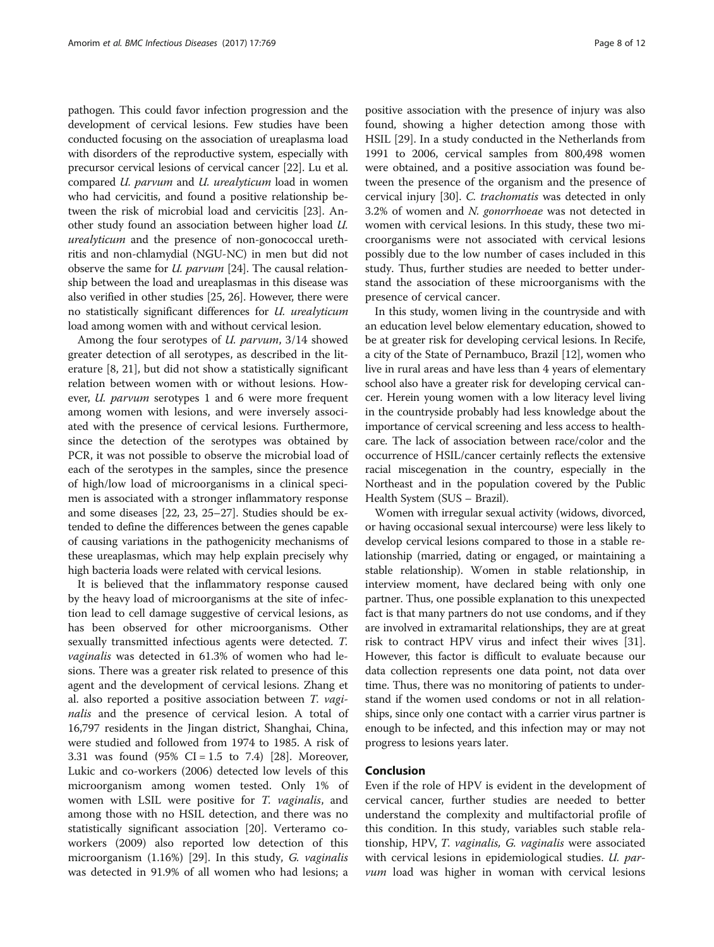pathogen. This could favor infection progression and the development of cervical lesions. Few studies have been conducted focusing on the association of ureaplasma load with disorders of the reproductive system, especially with precursor cervical lesions of cervical cancer [\[22\]](#page-10-0). Lu et al. compared *U. parvum* and *U. urealyticum* load in women who had cervicitis, and found a positive relationship between the risk of microbial load and cervicitis [\[23\]](#page-10-0). Another study found an association between higher load U. urealyticum and the presence of non-gonococcal urethritis and non-chlamydial (NGU-NC) in men but did not observe the same for *U. parvum* [[24](#page-10-0)]. The causal relationship between the load and ureaplasmas in this disease was also verified in other studies [[25](#page-10-0), [26\]](#page-11-0). However, there were no statistically significant differences for U. urealyticum load among women with and without cervical lesion.

Among the four serotypes of U. parvum, 3/14 showed greater detection of all serotypes, as described in the literature [[8, 21\]](#page-10-0), but did not show a statistically significant relation between women with or without lesions. However, U. parvum serotypes 1 and 6 were more frequent among women with lesions, and were inversely associated with the presence of cervical lesions. Furthermore, since the detection of the serotypes was obtained by PCR, it was not possible to observe the microbial load of each of the serotypes in the samples, since the presence of high/low load of microorganisms in a clinical specimen is associated with a stronger inflammatory response and some diseases [\[22, 23, 25](#page-10-0)–[27\]](#page-11-0). Studies should be extended to define the differences between the genes capable of causing variations in the pathogenicity mechanisms of these ureaplasmas, which may help explain precisely why high bacteria loads were related with cervical lesions.

It is believed that the inflammatory response caused by the heavy load of microorganisms at the site of infection lead to cell damage suggestive of cervical lesions, as has been observed for other microorganisms. Other sexually transmitted infectious agents were detected. T. vaginalis was detected in 61.3% of women who had lesions. There was a greater risk related to presence of this agent and the development of cervical lesions. Zhang et al. also reported a positive association between T. vaginalis and the presence of cervical lesion. A total of 16,797 residents in the Jingan district, Shanghai, China, were studied and followed from 1974 to 1985. A risk of 3.31 was found  $(95\% \text{ CI} = 1.5 \text{ to } 7.4)$  [[28](#page-11-0)]. Moreover, Lukic and co-workers (2006) detected low levels of this microorganism among women tested. Only 1% of women with LSIL were positive for T. vaginalis, and among those with no HSIL detection, and there was no statistically significant association [[20](#page-10-0)]. Verteramo coworkers (2009) also reported low detection of this microorganism (1.16%) [\[29](#page-11-0)]. In this study, G. vaginalis was detected in 91.9% of all women who had lesions; a

positive association with the presence of injury was also found, showing a higher detection among those with HSIL [\[29\]](#page-11-0). In a study conducted in the Netherlands from 1991 to 2006, cervical samples from 800,498 women were obtained, and a positive association was found between the presence of the organism and the presence of cervical injury [\[30\]](#page-11-0). C. trachomatis was detected in only 3.2% of women and N. gonorrhoeae was not detected in women with cervical lesions. In this study, these two microorganisms were not associated with cervical lesions possibly due to the low number of cases included in this study. Thus, further studies are needed to better understand the association of these microorganisms with the presence of cervical cancer.

In this study, women living in the countryside and with an education level below elementary education, showed to be at greater risk for developing cervical lesions. In Recife, a city of the State of Pernambuco, Brazil [[12](#page-10-0)], women who live in rural areas and have less than 4 years of elementary school also have a greater risk for developing cervical cancer. Herein young women with a low literacy level living in the countryside probably had less knowledge about the importance of cervical screening and less access to healthcare. The lack of association between race/color and the occurrence of HSIL/cancer certainly reflects the extensive racial miscegenation in the country, especially in the Northeast and in the population covered by the Public Health System (SUS – Brazil).

Women with irregular sexual activity (widows, divorced, or having occasional sexual intercourse) were less likely to develop cervical lesions compared to those in a stable relationship (married, dating or engaged, or maintaining a stable relationship). Women in stable relationship, in interview moment, have declared being with only one partner. Thus, one possible explanation to this unexpected fact is that many partners do not use condoms, and if they are involved in extramarital relationships, they are at great risk to contract HPV virus and infect their wives [[31](#page-11-0)]. However, this factor is difficult to evaluate because our data collection represents one data point, not data over time. Thus, there was no monitoring of patients to understand if the women used condoms or not in all relationships, since only one contact with a carrier virus partner is enough to be infected, and this infection may or may not progress to lesions years later.

# Conclusion

Even if the role of HPV is evident in the development of cervical cancer, further studies are needed to better understand the complexity and multifactorial profile of this condition. In this study, variables such stable relationship, HPV, T. vaginalis, G. vaginalis were associated with cervical lesions in epidemiological studies. *U. par*vum load was higher in woman with cervical lesions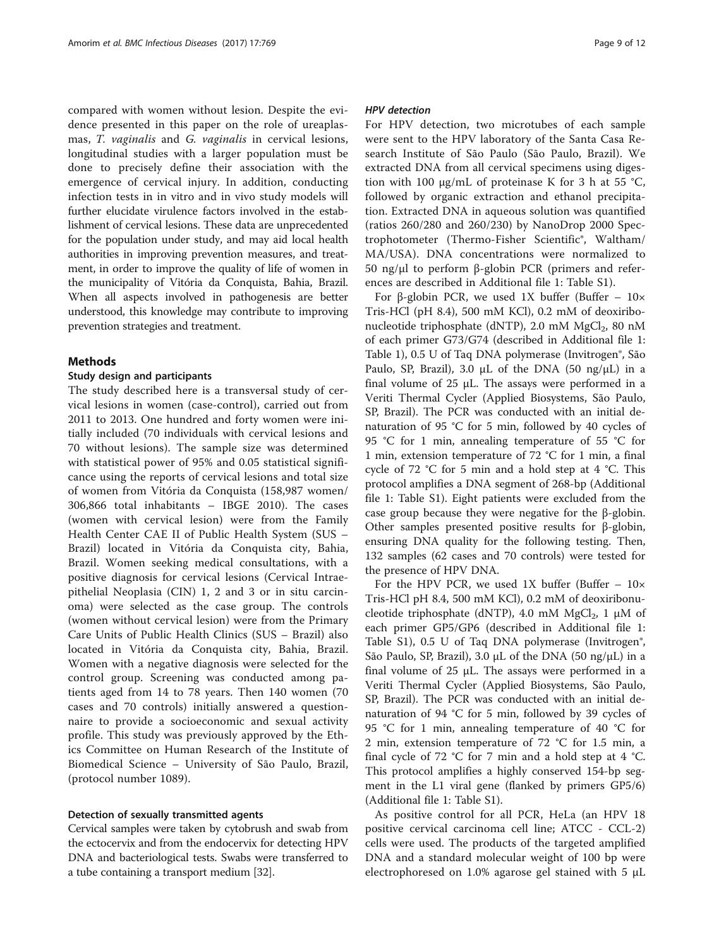compared with women without lesion. Despite the evidence presented in this paper on the role of ureaplasmas, T. vaginalis and G. vaginalis in cervical lesions, longitudinal studies with a larger population must be done to precisely define their association with the emergence of cervical injury. In addition, conducting infection tests in in vitro and in vivo study models will further elucidate virulence factors involved in the establishment of cervical lesions. These data are unprecedented for the population under study, and may aid local health authorities in improving prevention measures, and treatment, in order to improve the quality of life of women in the municipality of Vitória da Conquista, Bahia, Brazil. When all aspects involved in pathogenesis are better understood, this knowledge may contribute to improving prevention strategies and treatment.

## Methods

## Study design and participants

The study described here is a transversal study of cervical lesions in women (case-control), carried out from 2011 to 2013. One hundred and forty women were initially included (70 individuals with cervical lesions and 70 without lesions). The sample size was determined with statistical power of 95% and 0.05 statistical significance using the reports of cervical lesions and total size of women from Vitória da Conquista (158,987 women/ 306,866 total inhabitants – IBGE 2010). The cases (women with cervical lesion) were from the Family Health Center CAE II of Public Health System (SUS – Brazil) located in Vitória da Conquista city, Bahia, Brazil. Women seeking medical consultations, with a positive diagnosis for cervical lesions (Cervical Intraepithelial Neoplasia (CIN) 1, 2 and 3 or in situ carcinoma) were selected as the case group. The controls (women without cervical lesion) were from the Primary Care Units of Public Health Clinics (SUS – Brazil) also located in Vitória da Conquista city, Bahia, Brazil. Women with a negative diagnosis were selected for the control group. Screening was conducted among patients aged from 14 to 78 years. Then 140 women (70 cases and 70 controls) initially answered a questionnaire to provide a socioeconomic and sexual activity profile. This study was previously approved by the Ethics Committee on Human Research of the Institute of Biomedical Science – University of São Paulo, Brazil, (protocol number 1089).

# Detection of sexually transmitted agents

Cervical samples were taken by cytobrush and swab from the ectocervix and from the endocervix for detecting HPV DNA and bacteriological tests. Swabs were transferred to a tube containing a transport medium [\[32\]](#page-11-0).

# HPV detection

For HPV detection, two microtubes of each sample were sent to the HPV laboratory of the Santa Casa Research Institute of São Paulo (São Paulo, Brazil). We extracted DNA from all cervical specimens using digestion with 100 μg/mL of proteinase K for 3 h at 55 °C, followed by organic extraction and ethanol precipitation. Extracted DNA in aqueous solution was quantified (ratios 260/280 and 260/230) by NanoDrop 2000 Spectrophotometer (Thermo-Fisher Scientific®, Waltham/ MA/USA). DNA concentrations were normalized to 50 ng/μl to perform β-globin PCR (primers and references are described in Additional file [1](#page-9-0): Table S1).

For β-globin PCR, we used 1X buffer (Buffer –  $10 \times$ Tris-HCl (pH 8.4), 500 mM KCl), 0.2 mM of deoxiribonucleotide triphosphate (dNTP), 2.0 mM MgCl<sub>2</sub>, 80 nM of each primer G73/G74 (described in Additional file [1](#page-9-0): Table [1\)](#page-2-0), 0.5 U of Taq DNA polymerase (Invitrogen®, São Paulo, SP, Brazil), 3.0  $\mu$ L of the DNA (50 ng/ $\mu$ L) in a final volume of 25 μL. The assays were performed in a Veriti Thermal Cycler (Applied Biosystems, São Paulo, SP, Brazil). The PCR was conducted with an initial denaturation of 95 °C for 5 min, followed by 40 cycles of 95 °C for 1 min, annealing temperature of 55 °C for 1 min, extension temperature of 72 °C for 1 min, a final cycle of 72 °C for 5 min and a hold step at 4 °C. This protocol amplifies a DNA segment of 268-bp (Additional file [1:](#page-9-0) Table S1). Eight patients were excluded from the case group because they were negative for the β-globin. Other samples presented positive results for β-globin, ensuring DNA quality for the following testing. Then, 132 samples (62 cases and 70 controls) were tested for the presence of HPV DNA.

For the HPV PCR, we used 1X buffer (Buffer –  $10\times$ Tris-HCl pH 8.4, 500 mM KCl), 0.2 mM of deoxiribonucleotide triphosphate (dNTP), 4.0 mM MgCl<sub>2</sub>, 1  $\mu$ M of each primer GP5/GP6 (described in Additional file [1](#page-9-0): Table S1), 0.5 U of Taq DNA polymerase (Invitrogen®, São Paulo, SP, Brazil), 3.0 μL of the DNA (50 ng/μL) in a final volume of 25 μL. The assays were performed in a Veriti Thermal Cycler (Applied Biosystems, São Paulo, SP, Brazil). The PCR was conducted with an initial denaturation of 94 °C for 5 min, followed by 39 cycles of 95 °C for 1 min, annealing temperature of 40 °C for 2 min, extension temperature of 72 °C for 1.5 min, a final cycle of 72 °C for 7 min and a hold step at 4 °C. This protocol amplifies a highly conserved 154-bp segment in the L1 viral gene (flanked by primers GP5/6) (Additional file [1](#page-9-0): Table S1).

As positive control for all PCR, HeLa (an HPV 18 positive cervical carcinoma cell line; ATCC - CCL-2) cells were used. The products of the targeted amplified DNA and a standard molecular weight of 100 bp were electrophoresed on 1.0% agarose gel stained with 5 μL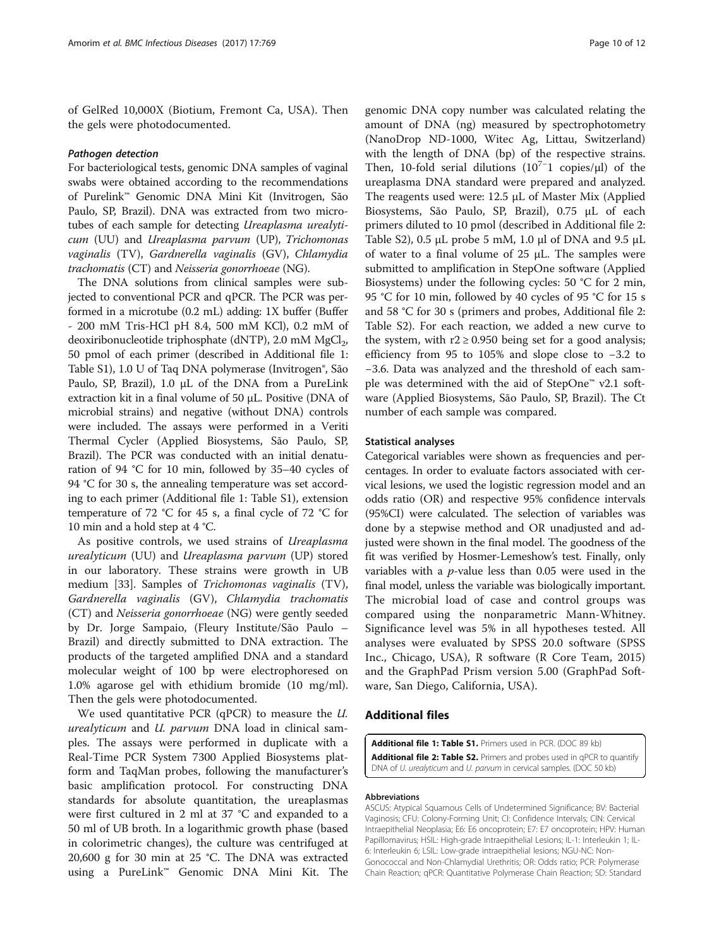<span id="page-9-0"></span>of GelRed 10,000X (Biotium, Fremont Ca, USA). Then the gels were photodocumented.

#### Pathogen detection

For bacteriological tests, genomic DNA samples of vaginal swabs were obtained according to the recommendations of Purelink™ Genomic DNA Mini Kit (Invitrogen, São Paulo, SP, Brazil). DNA was extracted from two microtubes of each sample for detecting Ureaplasma urealyticum (UU) and Ureaplasma parvum (UP), Trichomonas vaginalis (TV), Gardnerella vaginalis (GV), Chlamydia trachomatis (CT) and Neisseria gonorrhoeae (NG).

The DNA solutions from clinical samples were subjected to conventional PCR and qPCR. The PCR was performed in a microtube (0.2 mL) adding: 1X buffer (Buffer - 200 mM Tris-HCl pH 8.4, 500 mM KCl), 0.2 mM of deoxiribonucleotide triphosphate (dNTP), 2.0 mM  $MgCl<sub>2</sub>$ , 50 pmol of each primer (described in Additional file 1: Table S1), 1.0 U of Taq DNA polymerase (Invitrogen®, São Paulo, SP, Brazil), 1.0 μL of the DNA from a PureLink extraction kit in a final volume of 50 μL. Positive (DNA of microbial strains) and negative (without DNA) controls were included. The assays were performed in a Veriti Thermal Cycler (Applied Biosystems, São Paulo, SP, Brazil). The PCR was conducted with an initial denaturation of 94 °C for 10 min, followed by 35–40 cycles of 94 °C for 30 s, the annealing temperature was set according to each primer (Additional file 1: Table S1), extension temperature of 72 °C for 45 s, a final cycle of 72 °C for 10 min and a hold step at 4 °C.

As positive controls, we used strains of Ureaplasma urealyticum (UU) and Ureaplasma parvum (UP) stored in our laboratory. These strains were growth in UB medium [\[33](#page-11-0)]. Samples of Trichomonas vaginalis (TV), Gardnerella vaginalis (GV), Chlamydia trachomatis (CT) and Neisseria gonorrhoeae (NG) were gently seeded by Dr. Jorge Sampaio, (Fleury Institute/São Paulo – Brazil) and directly submitted to DNA extraction. The products of the targeted amplified DNA and a standard molecular weight of 100 bp were electrophoresed on 1.0% agarose gel with ethidium bromide (10 mg/ml). Then the gels were photodocumented.

We used quantitative PCR (qPCR) to measure the *U*. urealyticum and U. parvum DNA load in clinical samples. The assays were performed in duplicate with a Real-Time PCR System 7300 Applied Biosystems platform and TaqMan probes, following the manufacturer's basic amplification protocol. For constructing DNA standards for absolute quantitation, the ureaplasmas were first cultured in 2 ml at 37 °C and expanded to a 50 ml of UB broth. In a logarithmic growth phase (based in colorimetric changes), the culture was centrifuged at 20,600 g for 30 min at 25 °C. The DNA was extracted using a PureLink™ Genomic DNA Mini Kit. The

genomic DNA copy number was calculated relating the amount of DNA (ng) measured by spectrophotometry (NanoDrop ND-1000, Witec Ag, Littau, Switzerland) with the length of DNA (bp) of the respective strains. Then, 10-fold serial dilutions (10<sup>7-</sup>1 copies/μl) of the ureaplasma DNA standard were prepared and analyzed. The reagents used were: 12.5 μL of Master Mix (Applied Biosystems, São Paulo, SP, Brazil), 0.75 μL of each primers diluted to 10 pmol (described in Additional file 2: Table S2), 0.5 μL probe 5 mM, 1.0 μl of DNA and 9.5 μL of water to a final volume of  $25 \mu L$ . The samples were submitted to amplification in StepOne software (Applied Biosystems) under the following cycles: 50 °C for 2 min, 95 °C for 10 min, followed by 40 cycles of 95 °C for 15 s and 58 °C for 30 s (primers and probes, Additional file 2: Table S2). For each reaction, we added a new curve to the system, with  $r2 \ge 0.950$  being set for a good analysis; efficiency from 95 to 105% and slope close to −3.2 to −3.6. Data was analyzed and the threshold of each sample was determined with the aid of StepOne™ v2.1 software (Applied Biosystems, São Paulo, SP, Brazil). The Ct number of each sample was compared.

## Statistical analyses

Categorical variables were shown as frequencies and percentages. In order to evaluate factors associated with cervical lesions, we used the logistic regression model and an odds ratio (OR) and respective 95% confidence intervals (95%CI) were calculated. The selection of variables was done by a stepwise method and OR unadjusted and adjusted were shown in the final model. The goodness of the fit was verified by Hosmer-Lemeshow's test. Finally, only variables with a  $p$ -value less than 0.05 were used in the final model, unless the variable was biologically important. The microbial load of case and control groups was compared using the nonparametric Mann-Whitney. Significance level was 5% in all hypotheses tested. All analyses were evaluated by SPSS 20.0 software (SPSS Inc., Chicago, USA), R software (R Core Team, 2015) and the GraphPad Prism version 5.00 (GraphPad Software, San Diego, California, USA).

#### Additional files

[Additional file 1: Table S1.](dx.doi.org/10.1186/s12879-017-2835-5) Primers used in PCR. (DOC 89 kb) [Additional file 2: Table S2.](dx.doi.org/10.1186/s12879-017-2835-5) Primers and probes used in qPCR to quantify DNA of U. urealyticum and U. parvum in cervical samples. (DOC 50 kb)

#### Abbreviations

ASCUS: Atypical Squamous Cells of Undetermined Significance; BV: Bacterial Vaginosis; CFU: Colony-Forming Unit; CI: Confidence Intervals; CIN: Cervical Intraepithelial Neoplasia; E6: E6 oncoprotein; E7: E7 oncoprotein; HPV: Human Papillomavirus; HSIL: High-grade Intraepithelial Lesions; IL-1: Interleukin 1; IL-6: Interleukin 6; LSIL: Low-grade intraepithelial lesions; NGU-NC: Non-Gonococcal and Non-Chlamydial Urethritis; OR: Odds ratio; PCR: Polymerase Chain Reaction; qPCR: Quantitative Polymerase Chain Reaction; SD: Standard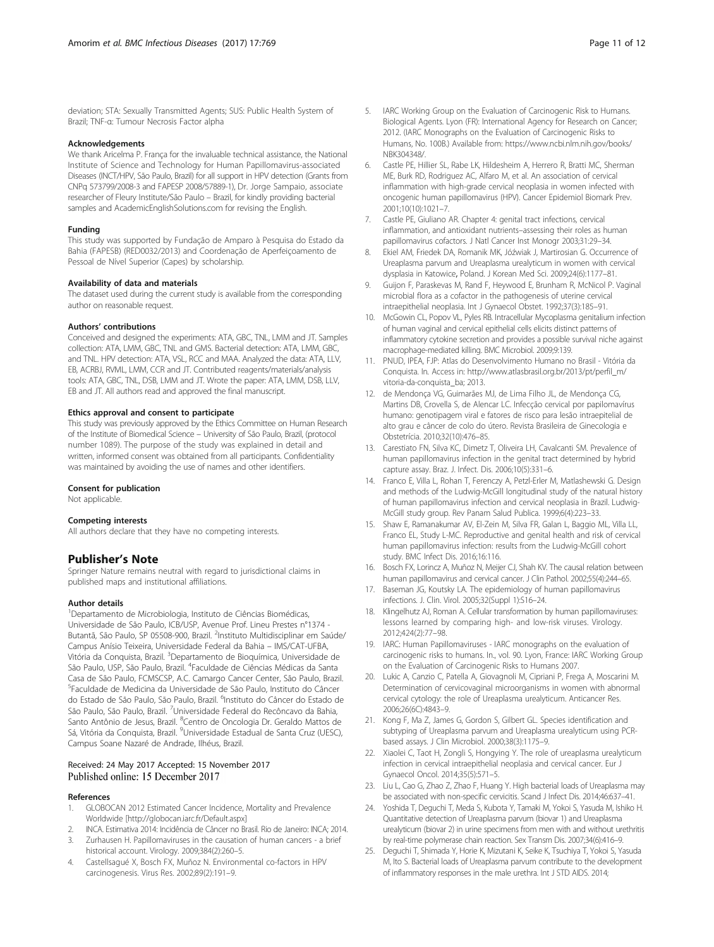#### <span id="page-10-0"></span>Acknowledgements

We thank Aricelma P. França for the invaluable technical assistance, the National Institute of Science and Technology for Human Papillomavirus-associated Diseases (INCT/HPV, São Paulo, Brazil) for all support in HPV detection (Grants from CNPq 573799/2008-3 and FAPESP 2008/57889-1), Dr. Jorge Sampaio, associate researcher of Fleury Institute/São Paulo – Brazil, for kindly providing bacterial samples and [AcademicEnglishSolutions.com](http://academicenglishsolutions.com) for revising the English.

#### Funding

This study was supported by Fundação de Amparo à Pesquisa do Estado da Bahia (FAPESB) (RED0032/2013) and Coordenação de Aperfeiçoamento de Pessoal de Nível Superior (Capes) by scholarship.

#### Availability of data and materials

The dataset used during the current study is available from the corresponding author on reasonable request.

#### Authors' contributions

Conceived and designed the experiments: ATA, GBC, TNL, LMM and JT. Samples collection: ATA, LMM, GBC, TNL and GMS. Bacterial detection: ATA, LMM, GBC, and TNL. HPV detection: ATA, VSL, RCC and MAA. Analyzed the data: ATA, LLV, EB, ACRBJ, RVML, LMM, CCR and JT. Contributed reagents/materials/analysis tools: ATA, GBC, TNL, DSB, LMM and JT. Wrote the paper: ATA, LMM, DSB, LLV, EB and JT. All authors read and approved the final manuscript.

#### Ethics approval and consent to participate

This study was previously approved by the Ethics Committee on Human Research of the Institute of Biomedical Science – University of São Paulo, Brazil, (protocol number 1089). The purpose of the study was explained in detail and written, informed consent was obtained from all participants. Confidentiality was maintained by avoiding the use of names and other identifiers.

#### Consent for publication

Not applicable.

#### Competing interests

All authors declare that they have no competing interests.

#### Publisher's Note

Springer Nature remains neutral with regard to jurisdictional claims in published maps and institutional affiliations.

#### Author details

<sup>1</sup> Departamento de Microbiologia, Instituto de Ciências Biomédicas, Universidade de São Paulo, ICB/USP, Avenue Prof. Lineu Prestes n°1374 - Butantã, São Paulo, SP 05508-900, Brazil. <sup>2</sup>Instituto Multidisciplinar em Saúde/ Campus Anísio Teixeira, Universidade Federal da Bahia – IMS/CAT-UFBA, Vitória da Conquista, Brazil. <sup>3</sup>Departamento de Bioquímica, Universidade de São Paulo, USP, São Paulo, Brazil. <sup>4</sup>Faculdade de Ciências Médicas da Santa Casa de São Paulo, FCMSCSP, A.C. Camargo Cancer Center, São Paulo, Brazil. 5 Faculdade de Medicina da Universidade de São Paulo, Instituto do Câncer do Estado de São Paulo, São Paulo, Brazil. <sup>6</sup>Instituto do Câncer do Estado de São Paulo, São Paulo, Brazil. <sup>7</sup>Universidade Federal do Recôncavo da Bahia, Santo Antônio de Jesus, Brazil. <sup>8</sup>Centro de Oncologia Dr. Geraldo Mattos de Sá, Vitória da Conquista, Brazil. <sup>9</sup>Universidade Estadual de Santa Cruz (UESC), Campus Soane Nazaré de Andrade, Ilhéus, Brazil.

## Received: 24 May 2017 Accepted: 15 November 2017 Published online: 15 December 2017

#### References

- 1. GLOBOCAN 2012 Estimated Cancer Incidence, Mortality and Prevalence Worldwide [<http://globocan.iarc.fr/Default.aspx>]
- 2. INCA. Estimativa 2014: Incidência de Câncer no Brasil. Rio de Janeiro: INCA; 2014.
- 3. Zurhausen H. Papillomaviruses in the causation of human cancers a brief historical account. Virology. 2009;384(2):260–5.
- 4. Castellsagué X, Bosch FX, Muñoz N. Environmental co-factors in HPV carcinogenesis. Virus Res. 2002;89(2):191–9.
- IARC Working Group on the Evaluation of Carcinogenic Risk to Humans. Biological Agents. Lyon (FR): International Agency for Research on Cancer; 2012. (IARC Monographs on the Evaluation of Carcinogenic Risks to Humans, No. 100B.) Available from: [https://www.ncbi.nlm.nih.gov/books/](https://www.ncbi.nlm.nih.gov/books/NBK304348/) [NBK304348/](https://www.ncbi.nlm.nih.gov/books/NBK304348/).
- 6. Castle PE, Hillier SL, Rabe LK, Hildesheim A, Herrero R, Bratti MC, Sherman ME, Burk RD, Rodriguez AC, Alfaro M, et al. An association of cervical inflammation with high-grade cervical neoplasia in women infected with oncogenic human papillomavirus (HPV). Cancer Epidemiol Biomark Prev. 2001;10(10):1021–7.
- 7. Castle PE, Giuliano AR. Chapter 4: genital tract infections, cervical inflammation, and antioxidant nutrients–assessing their roles as human papillomavirus cofactors. J Natl Cancer Inst Monogr 2003;31:29–34.
- Ekiel AM, Friedek DA, Romanik MK, Jóźwiak J, Martirosian G. Occurrence of Ureaplasma parvum and Ureaplasma urealyticum in women with cervical dysplasia in Katowice, Poland. J Korean Med Sci. 2009;24(6):1177–81.
- 9. Guijon F, Paraskevas M, Rand F, Heywood E, Brunham R, McNicol P. Vaginal microbial flora as a cofactor in the pathogenesis of uterine cervical intraepithelial neoplasia. Int J Gynaecol Obstet. 1992;37(3):185–91.
- 10. McGowin CL, Popov VL, Pyles RB. Intracellular Mycoplasma genitalium infection of human vaginal and cervical epithelial cells elicits distinct patterns of inflammatory cytokine secretion and provides a possible survival niche against macrophage-mediated killing. BMC Microbiol. 2009;9:139.
- 11. PNUD, IPEA, FJP: Atlas do Desenvolvimento Humano no Brasil Vitória da Conquista. In. Access in: http://www.atlasbrasil.org.br/2013/pt/perfil\_m/ vitoria-da-conquista\_ba; 2013.
- 12. de Mendonça VG, Guimarães MJ, de Lima Filho JL, de Mendonça CG, Martins DB, Crovella S, de Alencar LC. Infecção cervical por papilomavírus humano: genotipagem viral e fatores de risco para lesão intraepitelial de alto grau e câncer de colo do útero. Revista Brasileira de Ginecologia e Obstetrícia. 2010;32(10):476–85.
- 13. Carestiato FN, Silva KC, Dimetz T, Oliveira LH, Cavalcanti SM. Prevalence of human papillomavirus infection in the genital tract determined by hybrid capture assay. Braz. J. Infect. Dis. 2006;10(5):331–6.
- 14. Franco E, Villa L, Rohan T, Ferenczy A, Petzl-Erler M, Matlashewski G. Design and methods of the Ludwig-McGill longitudinal study of the natural history of human papillomavirus infection and cervical neoplasia in Brazil. Ludwig-McGill study group. Rev Panam Salud Publica. 1999;6(4):223–33.
- 15. Shaw E, Ramanakumar AV, El-Zein M, Silva FR, Galan L, Baggio ML, Villa LL, Franco EL, Study L-MC. Reproductive and genital health and risk of cervical human papillomavirus infection: results from the Ludwig-McGill cohort study. BMC Infect Dis. 2016;16:116.
- 16. Bosch FX, Lorincz A, Muñoz N, Meijer CJ, Shah KV. The causal relation between human papillomavirus and cervical cancer. J Clin Pathol. 2002;55(4):244–65.
- 17. Baseman JG, Koutsky LA. The epidemiology of human papillomavirus infections. J. Clin. Virol. 2005;32(Suppl 1):S16–24.
- 18. Klingelhutz AJ, Roman A. Cellular transformation by human papillomaviruses: lessons learned by comparing high- and low-risk viruses. Virology. 2012;424(2):77–98.
- 19. IARC: Human Papillomaviruses IARC monographs on the evaluation of carcinogenic risks to humans. In., vol. 90. Lyon, France: IARC Working Group on the Evaluation of Carcinogenic Risks to Humans 2007.
- 20. Lukic A, Canzio C, Patella A, Giovagnoli M, Cipriani P, Frega A, Moscarini M. Determination of cervicovaginal microorganisms in women with abnormal cervical cytology: the role of Ureaplasma urealyticum. Anticancer Res. 2006;26(6C):4843–9.
- 21. Kong F, Ma Z, James G, Gordon S, Gilbert GL. Species identification and subtyping of Ureaplasma parvum and Ureaplasma urealyticum using PCRbased assays. J Clin Microbiol. 2000;38(3):1175–9.
- 22. Xiaolei C, Taot H, Zongli S, Hongying Y. The role of ureaplasma urealyticum infection in cervical intraepithelial neoplasia and cervical cancer. Eur J Gynaecol Oncol. 2014;35(5):571–5.
- 23. Liu L, Cao G, Zhao Z, Zhao F, Huang Y. High bacterial loads of Ureaplasma may be associated with non-specific cervicitis. Scand J Infect Dis. 2014;46:637–41.
- 24. Yoshida T, Deguchi T, Meda S, Kubota Y, Tamaki M, Yokoi S, Yasuda M, Ishiko H. Quantitative detection of Ureaplasma parvum (biovar 1) and Ureaplasma urealyticum (biovar 2) in urine specimens from men with and without urethritis by real-time polymerase chain reaction. Sex Transm Dis. 2007;34(6):416–9.
- 25. Deguchi T, Shimada Y, Horie K, Mizutani K, Seike K, Tsuchiya T, Yokoi S, Yasuda M, Ito S. Bacterial loads of Ureaplasma parvum contribute to the development of inflammatory responses in the male urethra. Int J STD AIDS. 2014;